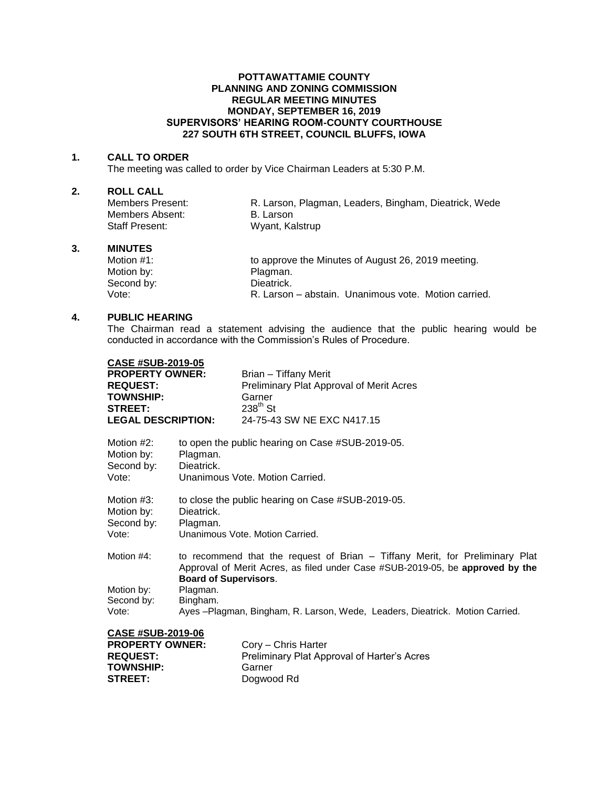## **POTTAWATTAMIE COUNTY PLANNING AND ZONING COMMISSION REGULAR MEETING MINUTES MONDAY, SEPTEMBER 16, 2019 SUPERVISORS' HEARING ROOM-COUNTY COURTHOUSE 227 SOUTH 6TH STREET, COUNCIL BLUFFS, IOWA**

### **1. CALL TO ORDER**

The meeting was called to order by Vice Chairman Leaders at 5:30 P.M.

# **2. ROLL CALL**

Members Absent: Staff Present: Wyant, Kalstrup

Members Present: R. Larson, Plagman, Leaders, Bingham, Dieatrick, Wede<br>Members Absent: B. Larson

#### **3. MINUTES**

Motion #1: **to approve the Minutes of August 26, 2019 meeting.** Motion by: Plagman.<br>
Second by: Second by: Dieatrick. Second by: Vote: R. Larson – abstain. Unanimous vote. Motion carried.

# **4. PUBLIC HEARING**

The Chairman read a statement advising the audience that the public hearing would be conducted in accordance with the Commission's Rules of Procedure.

| <b>CASE #SUB-2019-05</b>                  |                                                                                                                                                                                               |                                                   |  |
|-------------------------------------------|-----------------------------------------------------------------------------------------------------------------------------------------------------------------------------------------------|---------------------------------------------------|--|
| <b>PROPERTY OWNER:</b>                    |                                                                                                                                                                                               | Brian - Tiffany Merit                             |  |
| <b>REQUEST:</b>                           |                                                                                                                                                                                               | Preliminary Plat Approval of Merit Acres          |  |
| <b>TOWNSHIP:</b>                          |                                                                                                                                                                                               | Garner                                            |  |
| <b>STREET:</b>                            |                                                                                                                                                                                               | $238^{\text{th}}$ St                              |  |
| <b>LEGAL DESCRIPTION:</b>                 |                                                                                                                                                                                               | 24-75-43 SW NE EXC N417.15                        |  |
| Motion $#2$ :<br>Motion by:<br>Second by: | Plagman.<br>Dieatrick.                                                                                                                                                                        | to open the public hearing on Case #SUB-2019-05.  |  |
| Vote:                                     | Unanimous Vote, Motion Carried.                                                                                                                                                               |                                                   |  |
| Motion $#3$ :<br>Motion by:<br>Second by: | Dieatrick.<br>Plagman.                                                                                                                                                                        | to close the public hearing on Case #SUB-2019-05. |  |
| Vote:                                     |                                                                                                                                                                                               | Unanimous Vote, Motion Carried.                   |  |
| Motion #4:                                | to recommend that the request of Brian – Tiffany Merit, for Preliminary Plat<br>Approval of Merit Acres, as filed under Case #SUB-2019-05, be approved by the<br><b>Board of Supervisors.</b> |                                                   |  |
| Motion by:                                | Plagman.                                                                                                                                                                                      |                                                   |  |
| Second by:                                | Bingham.                                                                                                                                                                                      |                                                   |  |
| Vote:                                     | Ayes -Plagman, Bingham, R. Larson, Wede, Leaders, Dieatrick. Motion Carried.                                                                                                                  |                                                   |  |
| <b>CASE #SUB-2019-06</b>                  |                                                                                                                                                                                               |                                                   |  |
| <b>PROPERTY OWNER:</b>                    |                                                                                                                                                                                               | Cory - Chris Harter                               |  |
| <b>REQUEST:</b>                           |                                                                                                                                                                                               | Preliminary Plat Approval of Harter's Acres       |  |
| <b>TOWNSHIP:</b>                          |                                                                                                                                                                                               | Garner                                            |  |
| <b>STREET:</b>                            |                                                                                                                                                                                               | Doawood Rd                                        |  |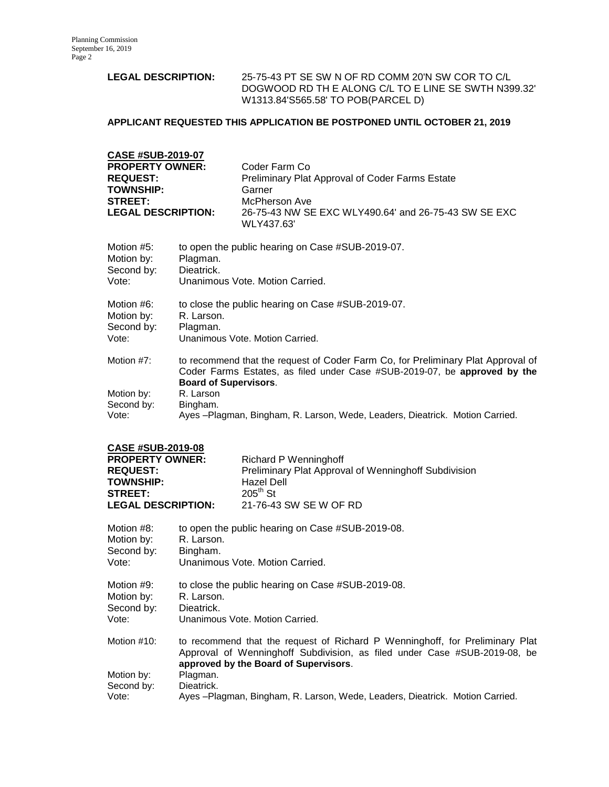# **LEGAL DESCRIPTION:** 25-75-43 PT SE SW N OF RD COMM 20'N SW COR TO C/L DOGWOOD RD TH E ALONG C/L TO E LINE SE SWTH N399.32' W1313.84'S565.58' TO POB(PARCEL D)

# **APPLICANT REQUESTED THIS APPLICATION BE POSTPONED UNTIL OCTOBER 21, 2019**

| <b>CASE #SUB-2019-07</b>  |                                                        |
|---------------------------|--------------------------------------------------------|
| <b>PROPERTY OWNER:</b>    | Coder Farm Co                                          |
| <b>REQUEST:</b>           | <b>Preliminary Plat Approval of Coder Farms Estate</b> |
| <b>TOWNSHIP:</b>          | Garner                                                 |
| <b>STREET:</b>            | McPherson Ave                                          |
| <b>LEGAL DESCRIPTION:</b> | 26-75-43 NW SE EXC WLY490.64' and 26-75-43 SW SE EXC   |
|                           | WLY437.63'                                             |

| Motion #5:<br>Motion by:<br>Second by:<br>Vote: | to open the public hearing on Case #SUB-2019-07.<br>Plagman.<br>Dieatrick.<br>Unanimous Vote, Motion Carried.                                                 |  |  |
|-------------------------------------------------|---------------------------------------------------------------------------------------------------------------------------------------------------------------|--|--|
| Motion #6:                                      | to close the public hearing on Case #SUB-2019-07.                                                                                                             |  |  |
| Motion by:                                      | R. Larson.                                                                                                                                                    |  |  |
| Second by:                                      | Plagman.                                                                                                                                                      |  |  |
| Vote:                                           | Unanimous Vote, Motion Carried.                                                                                                                               |  |  |
| Motion #7:                                      | to recommend that the request of Coder Farm Co, for Preliminary Plat Approval of<br>Coder Farms Estates, as filed under Case #SUB-2019-07, be approved by the |  |  |
|                                                 | <b>Board of Supervisors.</b>                                                                                                                                  |  |  |
| Motion by:                                      | R. Larson                                                                                                                                                     |  |  |
| Second by:                                      | Bingham.                                                                                                                                                      |  |  |
| Vote:                                           | Ayes – Plagman, Bingham, R. Larson, Wede, Leaders, Dieatrick. Motion Carried.                                                                                 |  |  |

|--|

| <b>PROPERTY OWNER:</b>    | Richard P Wenninghoff                                |
|---------------------------|------------------------------------------------------|
| <b>REQUEST:</b>           | Preliminary Plat Approval of Wenninghoff Subdivision |
| <b>TOWNSHIP:</b>          | Hazel Dell                                           |
| <b>STREET:</b>            | $205^{\text{th}}$ St                                 |
| <b>LEGAL DESCRIPTION:</b> | 21-76-43 SW SE W OF RD                               |

| Motion #8:  | to open the public hearing on Case #SUB-2019-08.                                                                                                                                                   |
|-------------|----------------------------------------------------------------------------------------------------------------------------------------------------------------------------------------------------|
| Motion by:  | R. Larson.                                                                                                                                                                                         |
| Second by:  | Bingham.                                                                                                                                                                                           |
| Vote:       | Unanimous Vote, Motion Carried.                                                                                                                                                                    |
| Motion #9:  | to close the public hearing on Case #SUB-2019-08.                                                                                                                                                  |
| Motion by:  | R. Larson.                                                                                                                                                                                         |
| Second by:  | Dieatrick.                                                                                                                                                                                         |
| Vote:       | Unanimous Vote, Motion Carried.                                                                                                                                                                    |
| Motion #10: | to recommend that the request of Richard P Wenninghoff, for Preliminary Plat<br>Approval of Wenninghoff Subdivision, as filed under Case #SUB-2019-08, be<br>approved by the Board of Supervisors. |
| Motion by:  | Plagman.                                                                                                                                                                                           |
| Second by:  | Dieatrick.                                                                                                                                                                                         |
| Vote:       | Ayes – Plagman, Bingham, R. Larson, Wede, Leaders, Dieatrick. Motion Carried.                                                                                                                      |